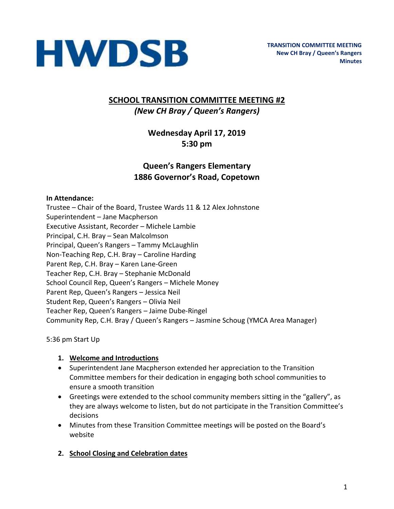

# **SCHOOL TRANSITION COMMITTEE MEETING #2** *(New CH Bray / Queen's Rangers)*

# **Wednesday April 17, 2019 5:30 pm**

# **Queen's Rangers Elementary 1886 Governor's Road, Copetown**

#### **In Attendance:**

Trustee – Chair of the Board, Trustee Wards 11 & 12 Alex Johnstone Superintendent – Jane Macpherson Executive Assistant, Recorder – Michele Lambie Principal, C.H. Bray – Sean Malcolmson Principal, Queen's Rangers – Tammy McLaughlin Non-Teaching Rep, C.H. Bray – Caroline Harding Parent Rep, C.H. Bray – Karen Lane-Green Teacher Rep, C.H. Bray – Stephanie McDonald School Council Rep, Queen's Rangers – Michele Money Parent Rep, Queen's Rangers – Jessica Neil Student Rep, Queen's Rangers – Olivia Neil Teacher Rep, Queen's Rangers – Jaime Dube-Ringel Community Rep, C.H. Bray / Queen's Rangers – Jasmine Schoug (YMCA Area Manager)

5:36 pm Start Up

#### **1. Welcome and Introductions**

- Superintendent Jane Macpherson extended her appreciation to the Transition Committee members for their dedication in engaging both school communities to ensure a smooth transition
- Greetings were extended to the school community members sitting in the "gallery", as they are always welcome to listen, but do not participate in the Transition Committee's decisions
- Minutes from these Transition Committee meetings will be posted on the Board's website
- **2. School Closing and Celebration dates**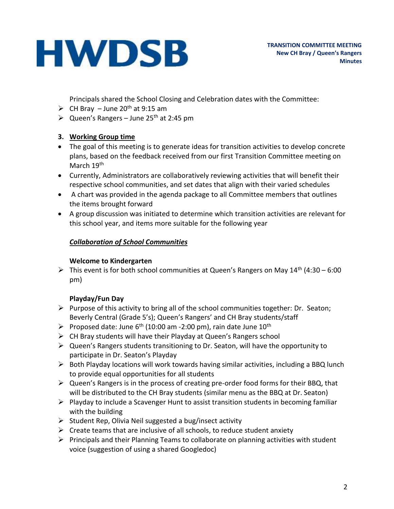Principals shared the School Closing and Celebration dates with the Committee:

- $\triangleright$  CH Bray June 20<sup>th</sup> at 9:15 am
- $\triangleright$  Queen's Rangers June 25<sup>th</sup> at 2:45 pm

# **3. Working Group time**

- The goal of this meeting is to generate ideas for transition activities to develop concrete plans, based on the feedback received from our first Transition Committee meeting on March 19<sup>th</sup>
- Currently, Administrators are collaboratively reviewing activities that will benefit their respective school communities, and set dates that align with their varied schedules
- A chart was provided in the agenda package to all Committee members that outlines the items brought forward
- A group discussion was initiated to determine which transition activities are relevant for this school year, and items more suitable for the following year

#### *Collaboration of School Communities*

#### **Welcome to Kindergarten**

 $\triangleright$  This event is for both school communities at Queen's Rangers on May 14<sup>th</sup> (4:30 – 6:00 pm)

# **Playday/Fun Day**

- $\triangleright$  Purpose of this activity to bring all of the school communities together: Dr. Seaton; Beverly Central (Grade 5's); Queen's Rangers' and CH Bray students/staff
- $\triangleright$  Proposed date: June 6<sup>th</sup> (10:00 am -2:00 pm), rain date June 10<sup>th</sup>
- ➢ CH Bray students will have their Playday at Queen's Rangers school
- ➢ Queen's Rangers students transitioning to Dr. Seaton, will have the opportunity to participate in Dr. Seaton's Playday
- $\triangleright$  Both Playday locations will work towards having similar activities, including a BBQ lunch to provide equal opportunities for all students
- ➢ Queen's Rangers is in the process of creating pre-order food forms for their BBQ, that will be distributed to the CH Bray students (similar menu as the BBQ at Dr. Seaton)
- $\triangleright$  Playday to include a Scavenger Hunt to assist transition students in becoming familiar with the building
- ➢ Student Rep, Olivia Neil suggested a bug/insect activity
- $\triangleright$  Create teams that are inclusive of all schools, to reduce student anxiety
- $\triangleright$  Principals and their Planning Teams to collaborate on planning activities with student voice (suggestion of using a shared Googledoc)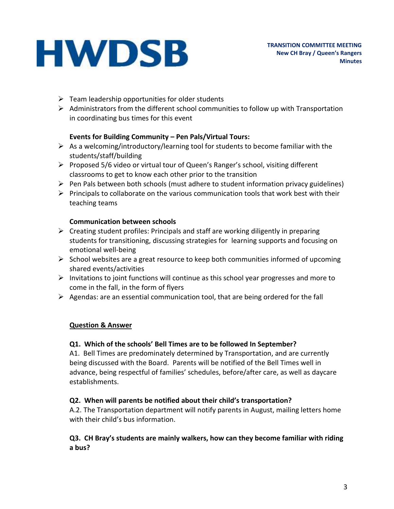- $\triangleright$  Team leadership opportunities for older students
- $\triangleright$  Administrators from the different school communities to follow up with Transportation in coordinating bus times for this event

#### **Events for Building Community – Pen Pals/Virtual Tours:**

- $\triangleright$  As a welcoming/introductory/learning tool for students to become familiar with the students/staff/building
- ➢ Proposed 5/6 video or virtual tour of Queen's Ranger's school, visiting different classrooms to get to know each other prior to the transition
- $\triangleright$  Pen Pals between both schools (must adhere to student information privacy guidelines)
- $\triangleright$  Principals to collaborate on the various communication tools that work best with their teaching teams

#### **Communication between schools**

- $\triangleright$  Creating student profiles: Principals and staff are working diligently in preparing students for transitioning, discussing strategies for learning supports and focusing on emotional well-being
- $\triangleright$  School websites are a great resource to keep both communities informed of upcoming shared events/activities
- $\triangleright$  Invitations to joint functions will continue as this school year progresses and more to come in the fall, in the form of flyers
- $\triangleright$  Agendas: are an essential communication tool, that are being ordered for the fall

# **Question & Answer**

#### **Q1. Which of the schools' Bell Times are to be followed In September?**

A1. Bell Times are predominately determined by Transportation, and are currently being discussed with the Board. Parents will be notified of the Bell Times well in advance, being respectful of families' schedules, before/after care, as well as daycare establishments.

# **Q2. When will parents be notified about their child's transportation?**

A.2. The Transportation department will notify parents in August, mailing letters home with their child's bus information.

#### **Q3. CH Bray's students are mainly walkers, how can they become familiar with riding a bus?**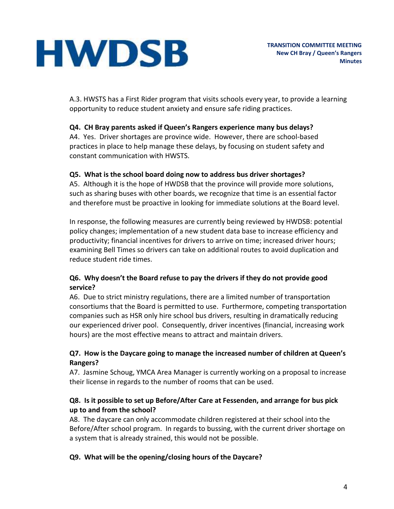A.3. HWSTS has a First Rider program that visits schools every year, to provide a learning opportunity to reduce student anxiety and ensure safe riding practices.

# **Q4. CH Bray parents asked if Queen's Rangers experience many bus delays?**

A4. Yes. Driver shortages are province wide. However, there are school-based practices in place to help manage these delays, by focusing on student safety and constant communication with HWSTS.

# **Q5. What is the school board doing now to address bus driver shortages?**

A5. Although it is the hope of HWDSB that the province will provide more solutions, such as sharing buses with other boards, we recognize that time is an essential factor and therefore must be proactive in looking for immediate solutions at the Board level.

In response, the following measures are currently being reviewed by HWDSB: potential policy changes; implementation of a new student data base to increase efficiency and productivity; financial incentives for drivers to arrive on time; increased driver hours; examining Bell Times so drivers can take on additional routes to avoid duplication and reduce student ride times.

# **Q6. Why doesn't the Board refuse to pay the drivers if they do not provide good service?**

A6. Due to strict ministry regulations, there are a limited number of transportation consortiums that the Board is permitted to use. Furthermore, competing transportation companies such as HSR only hire school bus drivers, resulting in dramatically reducing our experienced driver pool. Consequently, driver incentives (financial, increasing work hours) are the most effective means to attract and maintain drivers.

# **Q7. How is the Daycare going to manage the increased number of children at Queen's Rangers?**

A7. Jasmine Schoug, YMCA Area Manager is currently working on a proposal to increase their license in regards to the number of rooms that can be used.

# **Q8. Is it possible to set up Before/After Care at Fessenden, and arrange for bus pick up to and from the school?**

A8. The daycare can only accommodate children registered at their school into the Before/After school program. In regards to bussing, with the current driver shortage on a system that is already strained, this would not be possible.

# **Q9. What will be the opening/closing hours of the Daycare?**